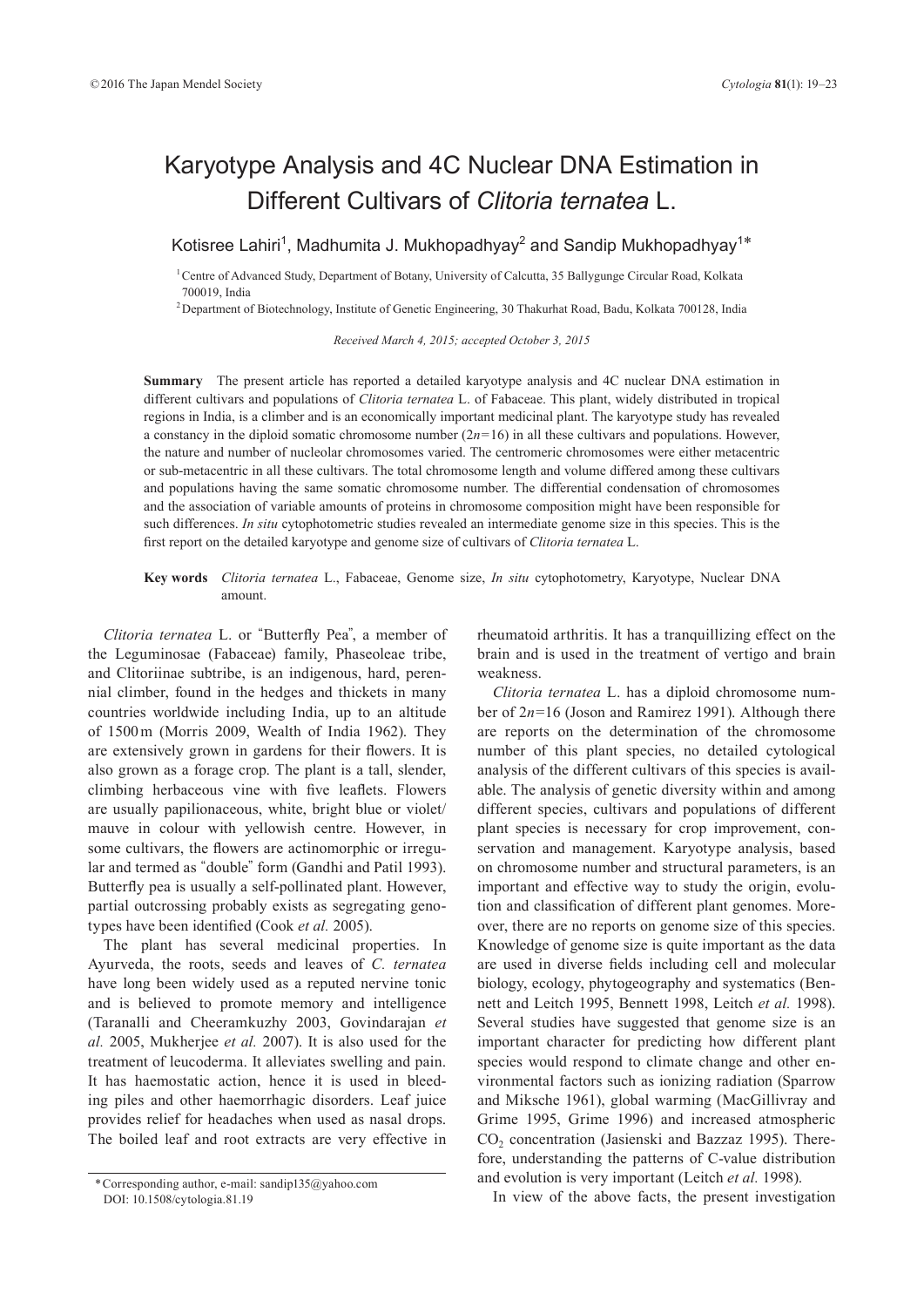# Karyotype Analysis and 4C Nuclear DNA Estimation in Different Cultivars of *Clitoria ternatea* L.

Kotisree Lahiri<sup>1</sup>, Madhumita J. Mukhopadhyay<sup>2</sup> and Sandip Mukhopadhyay<sup>1\*</sup>

<sup>1</sup> Centre of Advanced Study, Department of Botany, University of Calcutta, 35 Ballygunge Circular Road, Kolkata 700019, India

<sup>2</sup> Department of Biotechnology, Institute of Genetic Engineering, 30 Thakurhat Road, Badu, Kolkata 700128, India

*Received March 4, 2015; accepted October 3, 2015*

**Summary** The present article has reported a detailed karyotype analysis and 4C nuclear DNA estimation in different cultivars and populations of *Clitoria ternatea* L. of Fabaceae. This plant, widely distributed in tropical regions in India, is a climber and is an economically important medicinal plant. The karyotype study has revealed a constancy in the diploid somatic chromosome number (2*n*=16) in all these cultivars and populations. However, the nature and number of nucleolar chromosomes varied. The centromeric chromosomes were either metacentric or sub-metacentric in all these cultivars. The total chromosome length and volume differed among these cultivars and populations having the same somatic chromosome number. The differential condensation of chromosomes and the association of variable amounts of proteins in chromosome composition might have been responsible for such differences. *In situ* cytophotometric studies revealed an intermediate genome size in this species. This is the first report on the detailed karyotype and genome size of cultivars of *Clitoria ternatea* L.

## **Key words** *Clitoria ternatea* L., Fabaceae, Genome size, *In situ* cytophotometry, Karyotype, Nuclear DNA amount.

*Clitoria ternatea* L. or "Butterfly Pea", a member of the Leguminosae (Fabaceae) family, Phaseoleae tribe, and Clitoriinae subtribe, is an indigenous, hard, perennial climber, found in the hedges and thickets in many countries worldwide including India, up to an altitude of 1500 m (Morris 2009, Wealth of India 1962). They are extensively grown in gardens for their flowers. It is also grown as a forage crop. The plant is a tall, slender, climbing herbaceous vine with five leaflets. Flowers are usually papilionaceous, white, bright blue or violet/ mauve in colour with yellowish centre. However, in some cultivars, the flowers are actinomorphic or irregular and termed as "double" form (Gandhi and Patil 1993). Butterfly pea is usually a self-pollinated plant. However, partial outcrossing probably exists as segregating genotypes have been identified (Cook *et al.* 2005).

The plant has several medicinal properties. In Ayurveda, the roots, seeds and leaves of *C. ternatea* have long been widely used as a reputed nervine tonic and is believed to promote memory and intelligence (Taranalli and Cheeramkuzhy 2003, Govindarajan *et al.* 2005, Mukherjee *et al.* 2007). It is also used for the treatment of leucoderma. It alleviates swelling and pain. It has haemostatic action, hence it is used in bleeding piles and other haemorrhagic disorders. Leaf juice provides relief for headaches when used as nasal drops. The boiled leaf and root extracts are very effective in rheumatoid arthritis. It has a tranquillizing effect on the brain and is used in the treatment of vertigo and brain weakness.

*Clitoria ternatea* L. has a diploid chromosome number of 2*n*=16 (Joson and Ramirez 1991). Although there are reports on the determination of the chromosome number of this plant species, no detailed cytological analysis of the different cultivars of this species is available. The analysis of genetic diversity within and among different species, cultivars and populations of different plant species is necessary for crop improvement, conservation and management. Karyotype analysis, based on chromosome number and structural parameters, is an important and effective way to study the origin, evolution and classification of different plant genomes. Moreover, there are no reports on genome size of this species. Knowledge of genome size is quite important as the data are used in diverse fields including cell and molecular biology, ecology, phytogeography and systematics (Bennett and Leitch 1995, Bennett 1998, Leitch *et al.* 1998). Several studies have suggested that genome size is an important character for predicting how different plant species would respond to climate change and other environmental factors such as ionizing radiation (Sparrow and Miksche 1961), global warming (MacGillivray and Grime 1995, Grime 1996) and increased atmospheric CO<sub>2</sub> concentration (Jasienski and Bazzaz 1995). Therefore, understanding the patterns of C-value distribution and evolution is very important (Leitch *et al.* 1998).

In view of the above facts, the present investigation \* Corresponding author, e-mail: sandip135@yahoo.com DOI: 10.1508/cytologia.81.19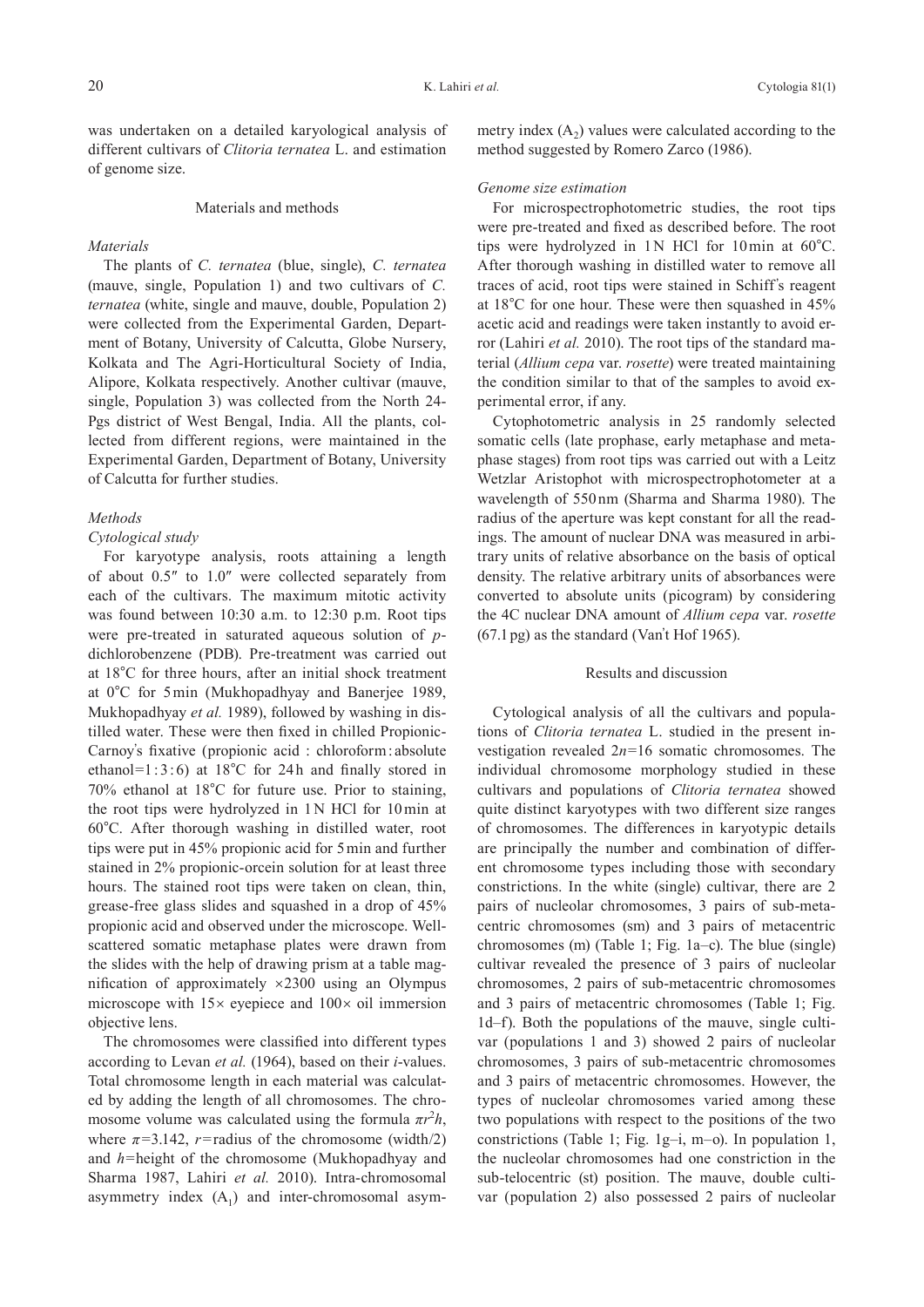was undertaken on a detailed karyological analysis of different cultivars of *Clitoria ternatea* L. and estimation of genome size.

#### Materials and methods

#### *Materials*

The plants of *C. ternatea* (blue, single), *C. ternatea* (mauve, single, Population 1) and two cultivars of *C. ternatea* (white, single and mauve, double, Population 2) were collected from the Experimental Garden, Department of Botany, University of Calcutta, Globe Nursery, Kolkata and The Agri-Horticultural Society of India, Alipore, Kolkata respectively. Another cultivar (mauve, single, Population 3) was collected from the North 24- Pgs district of West Bengal, India. All the plants, collected from different regions, were maintained in the Experimental Garden, Department of Botany, University of Calcutta for further studies.

## *Methods*

## *Cytological study*

For karyotype analysis, roots attaining a length of about 0.5″ to 1.0″ were collected separately from each of the cultivars. The maximum mitotic activity was found between 10:30 a.m. to 12:30 p.m. Root tips were pre-treated in saturated aqueous solution of *p*dichlorobenzene (PDB). Pre-treatment was carried out at 18°C for three hours, after an initial shock treatment at 0°C for 5 min (Mukhopadhyay and Banerjee 1989, Mukhopadhyay *et al.* 1989), followed by washing in distilled water. These were then fixed in chilled Propionic-Carnoy's fixative (propionic acid : chloroform : absolute ethanol=1 : 3 : 6) at  $18^{\circ}$ C for 24h and finally stored in 70% ethanol at 18°C for future use. Prior to staining, the root tips were hydrolyzed in 1N HCl for 10 min at 60°C. After thorough washing in distilled water, root tips were put in 45% propionic acid for 5 min and further stained in 2% propionic-orcein solution for at least three hours. The stained root tips were taken on clean, thin, grease-free glass slides and squashed in a drop of 45% propionic acid and observed under the microscope. Wellscattered somatic metaphase plates were drawn from the slides with the help of drawing prism at a table magnification of approximately  $\times$ 2300 using an Olympus microscope with  $15\times$  eyepiece and  $100\times$  oil immersion objective lens.

The chromosomes were classified into different types according to Levan *et al.* (1964), based on their *i*-values. Total chromosome length in each material was calculated by adding the length of all chromosomes. The chromosome volume was calculated using the formula  $\pi r^2 h$ , where  $\pi$ =3.142, *r*=radius of the chromosome (width/2) and *h*=height of the chromosome (Mukhopadhyay and Sharma 1987, Lahiri *et al.* 2010). Intra-chromosomal asymmetry index  $(A_1)$  and inter-chromosomal asymmetry index  $(A_2)$  values were calculated according to the method suggested by Romero Zarco (1986).

### *Genome size estimation*

For microspectrophotometric studies, the root tips were pre-treated and fixed as described before. The root tips were hydrolyzed in 1N HCl for 10 min at 60°C. After thorough washing in distilled water to remove all traces of acid, root tips were stained in Schiff's reagent at 18°C for one hour. These were then squashed in 45% acetic acid and readings were taken instantly to avoid error (Lahiri *et al.* 2010). The root tips of the standard material (*Allium cepa* var. *rosette*) were treated maintaining the condition similar to that of the samples to avoid experimental error, if any.

Cytophotometric analysis in 25 randomly selected somatic cells (late prophase, early metaphase and metaphase stages) from root tips was carried out with a Leitz Wetzlar Aristophot with microspectrophotometer at a wavelength of 550 nm (Sharma and Sharma 1980). The radius of the aperture was kept constant for all the readings. The amount of nuclear DNA was measured in arbitrary units of relative absorbance on the basis of optical density. The relative arbitrary units of absorbances were converted to absolute units (picogram) by considering the 4C nuclear DNA amount of *Allium cepa* var. *rosette* (67.1 pg) as the standard (Van't Hof 1965).

#### Results and discussion

Cytological analysis of all the cultivars and populations of *Clitoria ternatea* L. studied in the present investigation revealed 2*n*=16 somatic chromosomes. The individual chromosome morphology studied in these cultivars and populations of *Clitoria ternatea* showed quite distinct karyotypes with two different size ranges of chromosomes. The differences in karyotypic details are principally the number and combination of different chromosome types including those with secondary constrictions. In the white (single) cultivar, there are 2 pairs of nucleolar chromosomes, 3 pairs of sub-metacentric chromosomes (sm) and 3 pairs of metacentric chromosomes (m) (Table 1; Fig. 1a–c). The blue (single) cultivar revealed the presence of 3 pairs of nucleolar chromosomes, 2 pairs of sub-metacentric chromosomes and 3 pairs of metacentric chromosomes (Table 1; Fig. 1d–f). Both the populations of the mauve, single cultivar (populations 1 and 3) showed 2 pairs of nucleolar chromosomes, 3 pairs of sub-metacentric chromosomes and 3 pairs of metacentric chromosomes. However, the types of nucleolar chromosomes varied among these two populations with respect to the positions of the two constrictions (Table 1; Fig. 1g–i, m–o). In population 1, the nucleolar chromosomes had one constriction in the sub-telocentric (st) position. The mauve, double cultivar (population 2) also possessed 2 pairs of nucleolar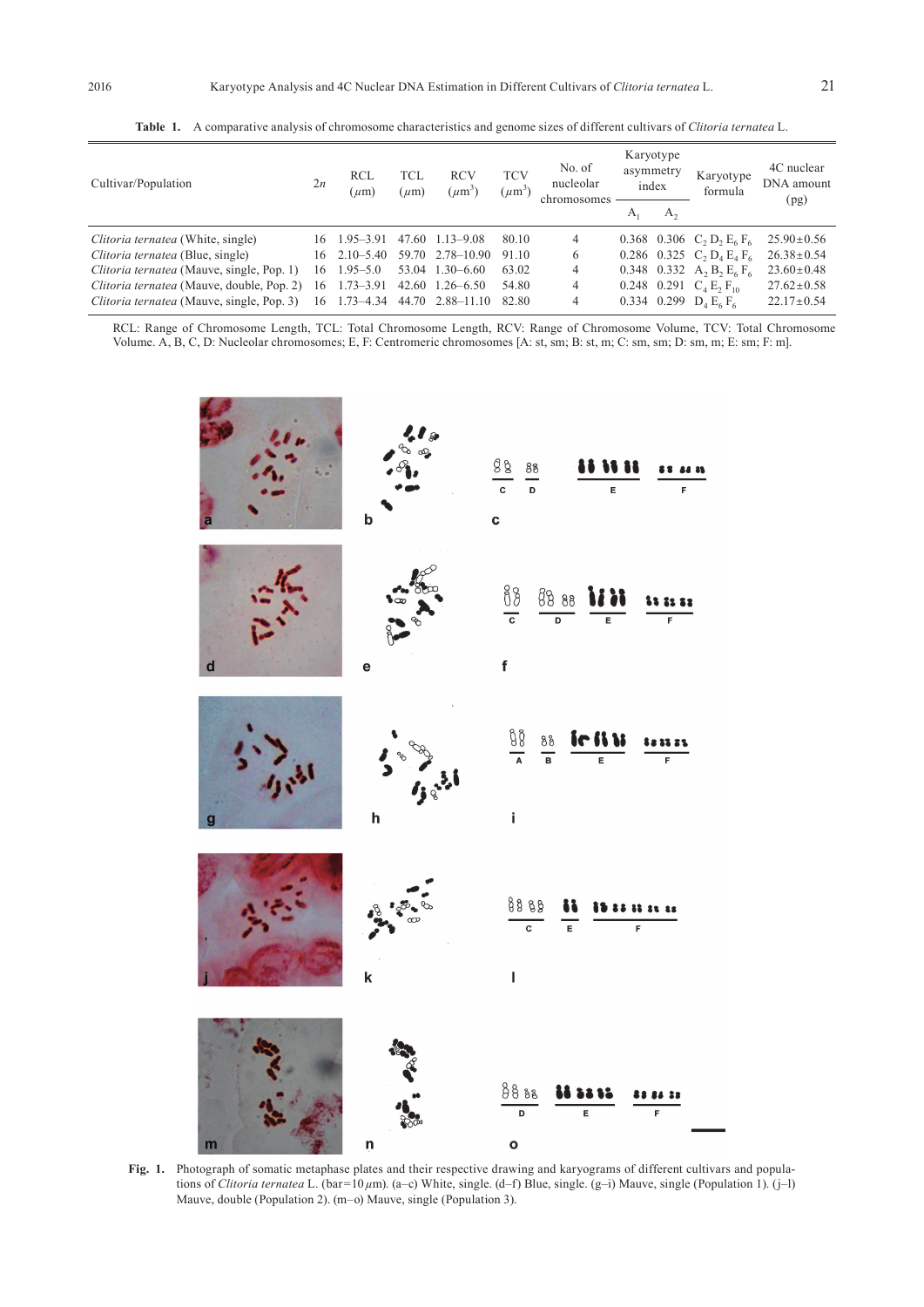| Cultivar/Population                       | 2n  | <b>RCL</b><br>$(\mu m)$ | TCL<br>$(\mu m)$ | <b>RCV</b><br>$(\mu m^3)$ | <b>TCV</b><br>$(\mu m^3)$ | No. of<br>nucleolar<br>chromosomes | Karyotype<br>asymmetry<br>index |         | Karyotype<br>formula                             | 4C nuclear<br>DNA amount<br>(pg) |
|-------------------------------------------|-----|-------------------------|------------------|---------------------------|---------------------------|------------------------------------|---------------------------------|---------|--------------------------------------------------|----------------------------------|
|                                           |     |                         |                  |                           |                           |                                    | $A_1$                           | $A_{2}$ |                                                  |                                  |
| Clitoria ternatea (White, single)         | 16  | $1.95 - 3.91$           |                  | 47.60 1.13–9.08           | 80.10                     | 4                                  |                                 |         | 0.368 0.306 C, D, E <sub>6</sub> F <sub>6</sub>  | $25.90 \pm 0.56$                 |
| Clitoria ternatea (Blue, single)          | 16. | $2.10 - 5.40$           |                  | 59.70 2.78 - 10.90        | 91.10                     | 6                                  |                                 |         | 0.286 0.325 $C_2 D_4 E_4 F_6$                    | $26.38 \pm 0.54$                 |
| Clitoria ternatea (Mauve, single, Pop. 1) | 16  | $1.95 - 5.0$            |                  | 53.04 1.30 - 6.60         | 63.02                     | 4                                  |                                 |         | 0.348 0.332 $A_2 B_2 E_6 F_6$                    | $23.60 \pm 0.48$                 |
| Clitoria ternatea (Mauve, double, Pop. 2) | 16  | $1.73 - 3.91$           |                  | $42.60 \quad 1.26 - 6.50$ | 54.80                     | 4                                  |                                 |         | 0.248 0.291 $C_4$ E <sub>2</sub> F <sub>10</sub> | $27.62 \pm 0.58$                 |
| Clitoria ternatea (Mauve, single, Pop. 3) | 16  | $1.73 - 4.34$           | 44.70            | $2.88 - 11.10$            | 82.80                     | 4                                  |                                 |         | 0.334 0.299 $D_4 E_6 F_6$                        | $22.17 \pm 0.54$                 |

**Table 1.** A comparative analysis of chromosome characteristics and genome sizes of different cultivars of *Clitoria ternatea* L.

RCL: Range of Chromosome Length, TCL: Total Chromosome Length, RCV: Range of Chromosome Volume, TCV: Total Chromosome Volume. A, B, C, D: Nucleolar chromosomes; E, F: Centromeric chromosomes [A: st, sm; B: st, m; C: sm, sm; D: sm, m; E: sm; F: m].



**Fig. 1.** Photograph of somatic metaphase plates and their respective drawing and karyograms of different cultivars and populations of *Clitoria ternatea* L. (bar=10 *µ*m). (a–c) White, single. (d–f) Blue, single. (g–i) Mauve, single (Population 1). (j–l) Mauve, double (Population 2). (m–o) Mauve, single (Population 3).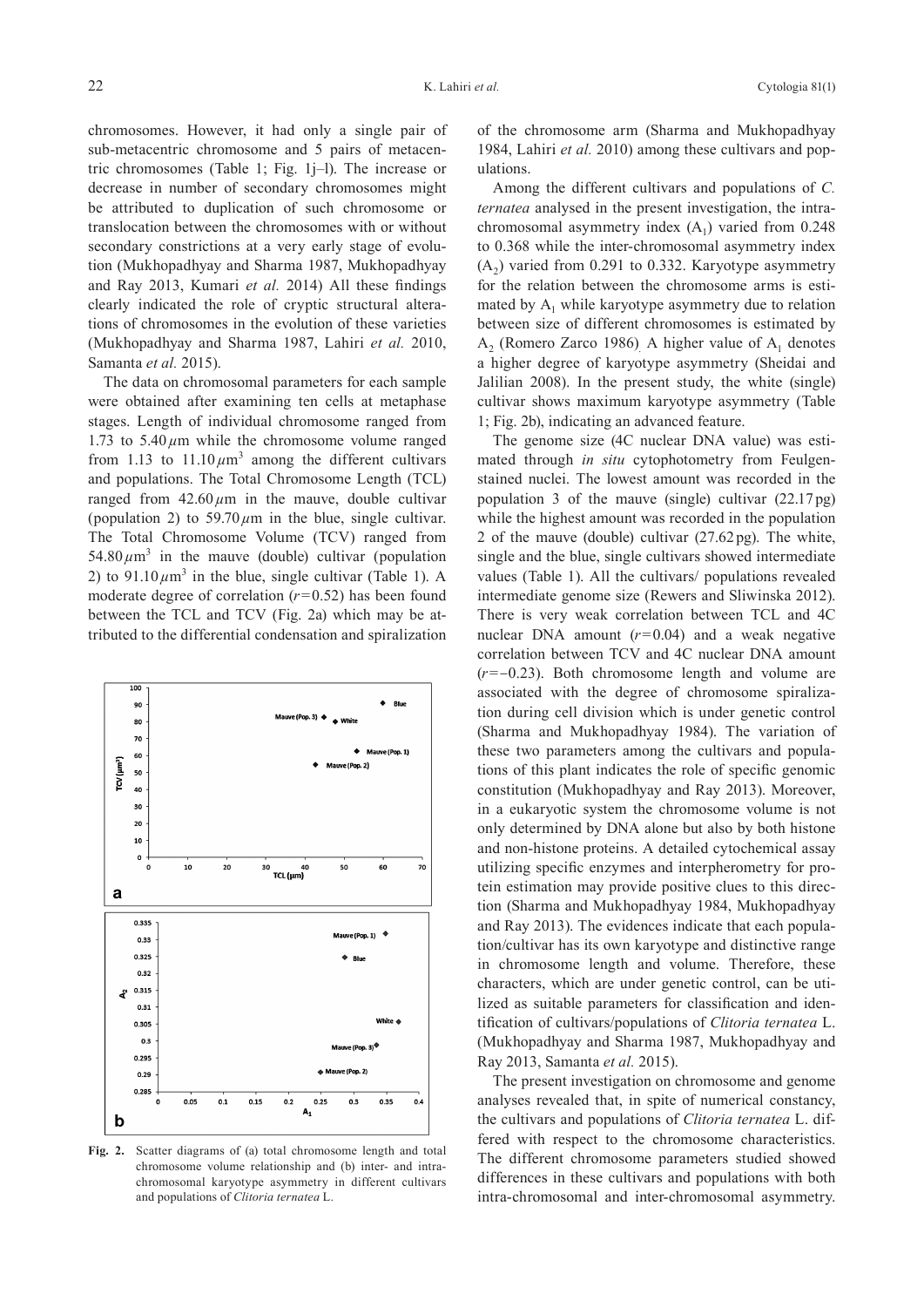chromosomes. However, it had only a single pair of sub-metacentric chromosome and 5 pairs of metacentric chromosomes (Table 1; Fig. 1j–l). The increase or decrease in number of secondary chromosomes might be attributed to duplication of such chromosome or translocation between the chromosomes with or without secondary constrictions at a very early stage of evolution (Mukhopadhyay and Sharma 1987, Mukhopadhyay and Ray 2013, Kumari *et al.* 2014) All these findings clearly indicated the role of cryptic structural alterations of chromosomes in the evolution of these varieties (Mukhopadhyay and Sharma 1987, Lahiri *et al.* 2010, Samanta *et al.* 2015).

The data on chromosomal parameters for each sample were obtained after examining ten cells at metaphase stages. Length of individual chromosome ranged from 1.73 to  $5.40 \mu m$  while the chromosome volume ranged from 1.13 to  $11.10 \mu m^3$  among the different cultivars and populations. The Total Chromosome Length (TCL) ranged from  $42.60 \mu m$  in the mauve, double cultivar (population 2) to  $59.70 \mu m$  in the blue, single cultivar. The Total Chromosome Volume (TCV) ranged from  $54.80 \mu m^3$  in the mauve (double) cultivar (population 2) to  $91.10 \mu m^3$  in the blue, single cultivar (Table 1). A moderate degree of correlation  $(r=0.52)$  has been found between the TCL and TCV (Fig. 2a) which may be attributed to the differential condensation and spiralization



**Fig. 2.** Scatter diagrams of (a) total chromosome length and total chromosome volume relationship and (b) inter- and intrachromosomal karyotype asymmetry in different cultivars and populations of *Clitoria ternatea* L.

of the chromosome arm (Sharma and Mukhopadhyay 1984, Lahiri *et al.* 2010) among these cultivars and populations.

Among the different cultivars and populations of *C. ternatea* analysed in the present investigation, the intrachromosomal asymmetry index  $(A_1)$  varied from 0.248 to 0.368 while the inter-chromosomal asymmetry index  $(A<sub>2</sub>)$  varied from 0.291 to 0.332. Karyotype asymmetry for the relation between the chromosome arms is estimated by  $A_1$  while karyotype asymmetry due to relation between size of different chromosomes is estimated by  $A_2$  (Romero Zarco 1986). A higher value of  $A_1$  denotes a higher degree of karyotype asymmetry (Sheidai and Jalilian 2008). In the present study, the white (single) cultivar shows maximum karyotype asymmetry (Table 1; Fig. 2b), indicating an advanced feature.

The genome size (4C nuclear DNA value) was estimated through *in situ* cytophotometry from Feulgenstained nuclei. The lowest amount was recorded in the population 3 of the mauve (single) cultivar (22.17 pg) while the highest amount was recorded in the population 2 of the mauve (double) cultivar (27.62 pg). The white, single and the blue, single cultivars showed intermediate values (Table 1). All the cultivars/ populations revealed intermediate genome size (Rewers and Sliwinska 2012). There is very weak correlation between TCL and 4C nuclear DNA amount  $(r=0.04)$  and a weak negative correlation between TCV and 4C nuclear DNA amount (*r*=-0.23). Both chromosome length and volume are associated with the degree of chromosome spiralization during cell division which is under genetic control (Sharma and Mukhopadhyay 1984). The variation of these two parameters among the cultivars and populations of this plant indicates the role of specific genomic constitution (Mukhopadhyay and Ray 2013). Moreover, in a eukaryotic system the chromosome volume is not only determined by DNA alone but also by both histone and non-histone proteins. A detailed cytochemical assay utilizing specific enzymes and interpherometry for protein estimation may provide positive clues to this direction (Sharma and Mukhopadhyay 1984, Mukhopadhyay and Ray 2013). The evidences indicate that each population/cultivar has its own karyotype and distinctive range in chromosome length and volume. Therefore, these characters, which are under genetic control, can be utilized as suitable parameters for classification and identification of cultivars/populations of *Clitoria ternatea* L. (Mukhopadhyay and Sharma 1987, Mukhopadhyay and Ray 2013, Samanta *et al.* 2015).

The present investigation on chromosome and genome analyses revealed that, in spite of numerical constancy, the cultivars and populations of *Clitoria ternatea* L. differed with respect to the chromosome characteristics. The different chromosome parameters studied showed differences in these cultivars and populations with both intra-chromosomal and inter-chromosomal asymmetry.